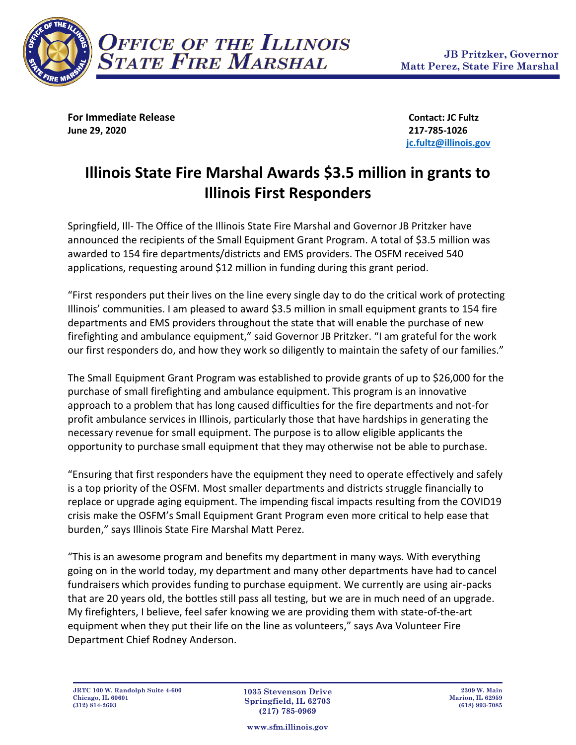

**For Immediate Release Contact: JC Fultz June 29, 2020 217-785-1026**

**[jc.fultz@illinois.gov](mailto:jc.fultz@illinois.gov)**

# **Illinois State Fire Marshal Awards \$3.5 million in grants to Illinois First Responders**

Springfield, Ill- The Office of the Illinois State Fire Marshal and Governor JB Pritzker have announced the recipients of the Small Equipment Grant Program. A total of \$3.5 million was awarded to 154 fire departments/districts and EMS providers. The OSFM received 540 applications, requesting around \$12 million in funding during this grant period.

"First responders put their lives on the line every single day to do the critical work of protecting Illinois' communities. I am pleased to award \$3.5 million in small equipment grants to 154 fire departments and EMS providers throughout the state that will enable the purchase of new firefighting and ambulance equipment," said Governor JB Pritzker. "I am grateful for the work our first responders do, and how they work so diligently to maintain the safety of our families."

The Small Equipment Grant Program was established to provide grants of up to \$26,000 for the purchase of small firefighting and ambulance equipment. This program is an innovative approach to a problem that has long caused difficulties for the fire departments and not-for profit ambulance services in Illinois, particularly those that have hardships in generating the necessary revenue for small equipment. The purpose is to allow eligible applicants the opportunity to purchase small equipment that they may otherwise not be able to purchase.

"Ensuring that first responders have the equipment they need to operate effectively and safely is a top priority of the OSFM. Most smaller departments and districts struggle financially to replace or upgrade aging equipment. The impending fiscal impacts resulting from the COVID19 crisis make the OSFM's Small Equipment Grant Program even more critical to help ease that burden," says Illinois State Fire Marshal Matt Perez.

"This is an awesome program and benefits my department in many ways. With everything going on in the world today, my department and many other departments have had to cancel fundraisers which provides funding to purchase equipment. We currently are using air-packs that are 20 years old, the bottles still pass all testing, but we are in much need of an upgrade. My firefighters, I believe, feel safer knowing we are providing them with state-of-the-art equipment when they put their life on the line as volunteers," says Ava Volunteer Fire Department Chief Rodney Anderson.

**1035 Stevenson Drive Springfield, IL 62703 (217) 785-0969**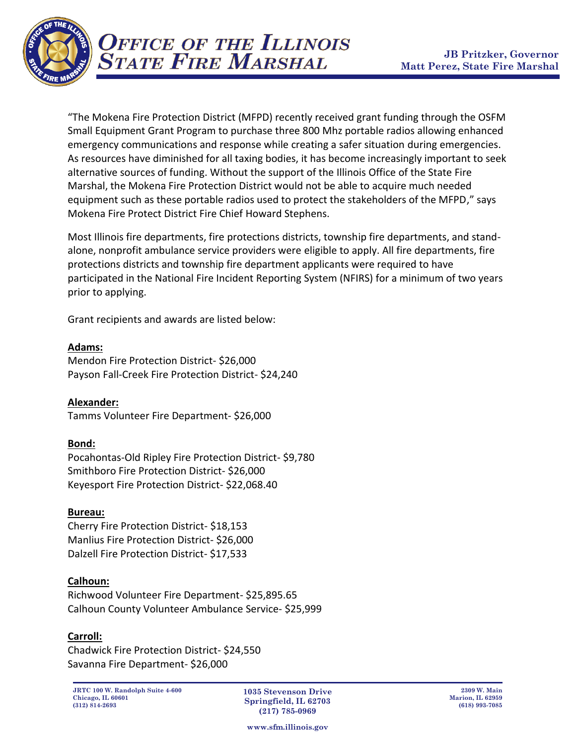

"The Mokena Fire Protection District (MFPD) recently received grant funding through the OSFM Small Equipment Grant Program to purchase three 800 Mhz portable radios allowing enhanced emergency communications and response while creating a safer situation during emergencies. As resources have diminished for all taxing bodies, it has become increasingly important to seek alternative sources of funding. Without the support of the Illinois Office of the State Fire Marshal, the Mokena Fire Protection District would not be able to acquire much needed equipment such as these portable radios used to protect the stakeholders of the MFPD," says Mokena Fire Protect District Fire Chief Howard Stephens.

Most Illinois fire departments, fire protections districts, township fire departments, and standalone, nonprofit ambulance service providers were eligible to apply. All fire departments, fire protections districts and township fire department applicants were required to have participated in the National Fire Incident Reporting System (NFIRS) for a minimum of two years prior to applying.

Grant recipients and awards are listed below:

**Adams:**

Mendon Fire Protection District- \$26,000 Payson Fall-Creek Fire Protection District- \$24,240

**Alexander:** Tamms Volunteer Fire Department- \$26,000

## **Bond:**

Pocahontas-Old Ripley Fire Protection District- \$9,780 Smithboro Fire Protection District- \$26,000 Keyesport Fire Protection District- \$22,068.40

## **Bureau:**

Cherry Fire Protection District- \$18,153 Manlius Fire Protection District- \$26,000 Dalzell Fire Protection District- \$17,533

## **Calhoun:**

Richwood Volunteer Fire Department- \$25,895.65 Calhoun County Volunteer Ambulance Service- \$25,999

## **Carroll:**

Chadwick Fire Protection District- \$24,550 Savanna Fire Department- \$26,000

**JRTC 100 W. Randolph Suite 4-600 Chicago, IL 60601 (312) 814-2693**

**1035 Stevenson Drive Springfield, IL 62703 (217) 785-0969**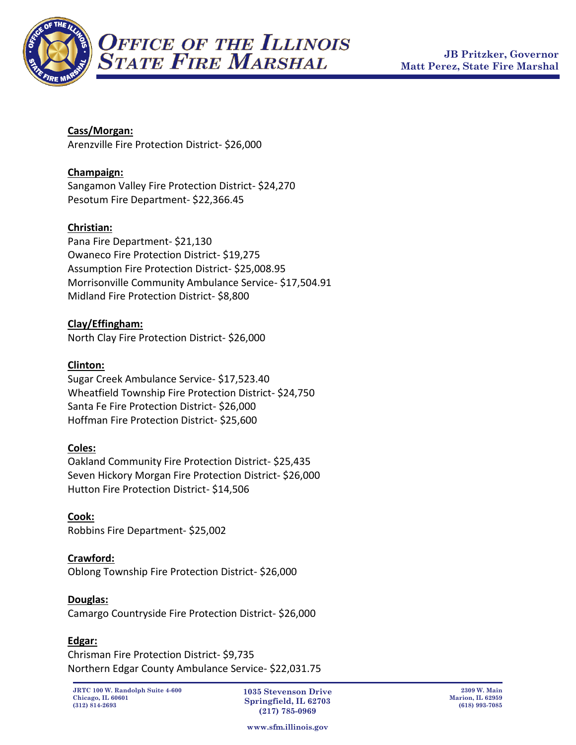

## **Cass/Morgan:**

Arenzville Fire Protection District- \$26,000

## **Champaign:**

Sangamon Valley Fire Protection District- \$24,270 Pesotum Fire Department- \$22,366.45

## **Christian:**

Pana Fire Department- \$21,130 Owaneco Fire Protection District- \$19,275 Assumption Fire Protection District- \$25,008.95 Morrisonville Community Ambulance Service- \$17,504.91 Midland Fire Protection District- \$8,800

## **Clay/Effingham:**

North Clay Fire Protection District- \$26,000

## **Clinton:**

Sugar Creek Ambulance Service- \$17,523.40 Wheatfield Township Fire Protection District- \$24,750 Santa Fe Fire Protection District- \$26,000 Hoffman Fire Protection District- \$25,600

## **Coles:**

Oakland Community Fire Protection District- \$25,435 Seven Hickory Morgan Fire Protection District- \$26,000 Hutton Fire Protection District- \$14,506

**Cook:** Robbins Fire Department- \$25,002

## **Crawford:**

Oblong Township Fire Protection District- \$26,000

## **Douglas:**

Camargo Countryside Fire Protection District- \$26,000

## **Edgar:**

Chrisman Fire Protection District- \$9,735 Northern Edgar County Ambulance Service- \$22,031.75

**1035 Stevenson Drive Springfield, IL 62703 (217) 785-0969**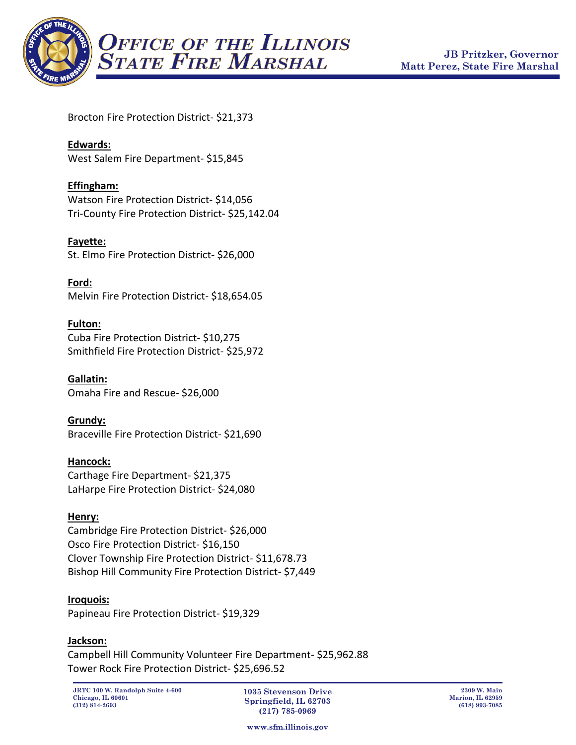

Brocton Fire Protection District- \$21,373

## **Edwards:**

West Salem Fire Department- \$15,845

## **Effingham:**

Watson Fire Protection District- \$14,056 Tri-County Fire Protection District- \$25,142.04

**Fayette:** St. Elmo Fire Protection District- \$26,000

**Ford:**  Melvin Fire Protection District- \$18,654.05

## **Fulton:**

Cuba Fire Protection District- \$10,275 Smithfield Fire Protection District- \$25,972

**Gallatin:** Omaha Fire and Rescue- \$26,000

## **Grundy:**

Braceville Fire Protection District- \$21,690

## **Hancock:**

Carthage Fire Department- \$21,375 LaHarpe Fire Protection District- \$24,080

## **Henry:**

Cambridge Fire Protection District- \$26,000 Osco Fire Protection District- \$16,150 Clover Township Fire Protection District- \$11,678.73 Bishop Hill Community Fire Protection District- \$7,449

## **Iroquois:**

Papineau Fire Protection District- \$19,329

#### **Jackson:**

Campbell Hill Community Volunteer Fire Department- \$25,962.88 Tower Rock Fire Protection District- \$25,696.52

**1035 Stevenson Drive Springfield, IL 62703 (217) 785-0969**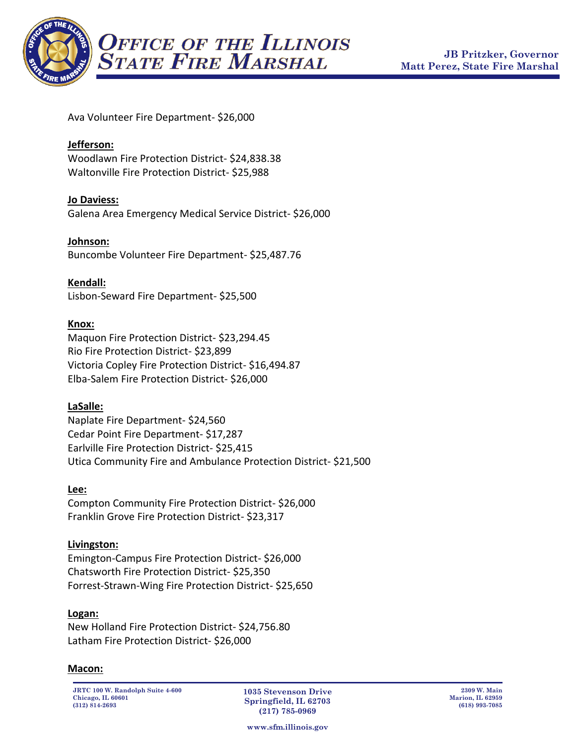

Ava Volunteer Fire Department- \$26,000

#### **Jefferson:**

Woodlawn Fire Protection District- \$24,838.38 Waltonville Fire Protection District- \$25,988

#### **Jo Daviess:**

Galena Area Emergency Medical Service District- \$26,000

#### **Johnson:**

Buncombe Volunteer Fire Department- \$25,487.76

**Kendall:** Lisbon-Seward Fire Department- \$25,500

#### **Knox:**

Maquon Fire Protection District- \$23,294.45 Rio Fire Protection District- \$23,899 Victoria Copley Fire Protection District- \$16,494.87 Elba-Salem Fire Protection District- \$26,000

#### **LaSalle:**

Naplate Fire Department- \$24,560 Cedar Point Fire Department- \$17,287 Earlville Fire Protection District- \$25,415 Utica Community Fire and Ambulance Protection District- \$21,500

#### **Lee:**

Compton Community Fire Protection District- \$26,000 Franklin Grove Fire Protection District- \$23,317

#### **Livingston:**

Emington-Campus Fire Protection District- \$26,000 Chatsworth Fire Protection District- \$25,350 Forrest-Strawn-Wing Fire Protection District- \$25,650

#### **Logan:**

New Holland Fire Protection District- \$24,756.80 Latham Fire Protection District- \$26,000

#### **Macon:**

**JRTC 100 W. Randolph Suite 4-600 Chicago, IL 60601 (312) 814-2693**

**1035 Stevenson Drive Springfield, IL 62703 (217) 785-0969**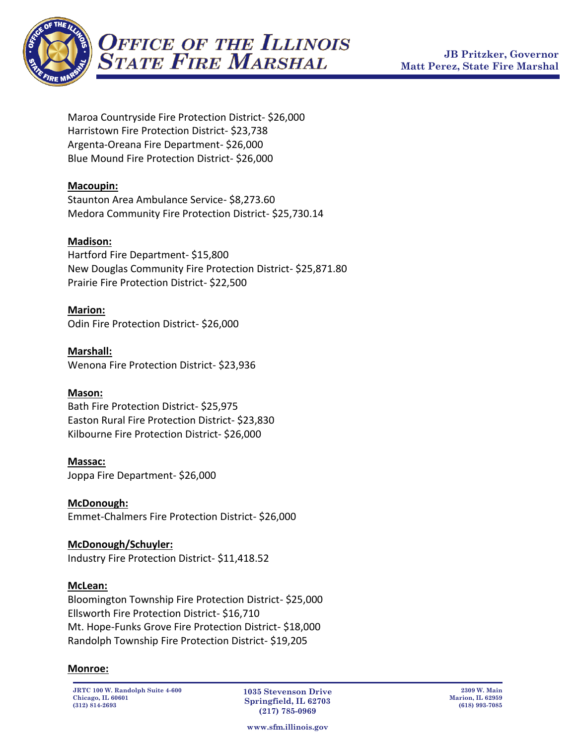

Maroa Countryside Fire Protection District- \$26,000 Harristown Fire Protection District- \$23,738 Argenta-Oreana Fire Department- \$26,000 Blue Mound Fire Protection District- \$26,000

## **Macoupin:**

Staunton Area Ambulance Service- \$8,273.60 Medora Community Fire Protection District- \$25,730.14

## **Madison:**

Hartford Fire Department- \$15,800 New Douglas Community Fire Protection District- \$25,871.80 Prairie Fire Protection District- \$22,500

## **Marion:**

Odin Fire Protection District- \$26,000

**Marshall:** Wenona Fire Protection District- \$23,936

#### **Mason:**

Bath Fire Protection District- \$25,975 Easton Rural Fire Protection District- \$23,830 Kilbourne Fire Protection District- \$26,000

#### **Massac:**

Joppa Fire Department- \$26,000

**McDonough:** Emmet-Chalmers Fire Protection District- \$26,000

## **McDonough/Schuyler:**

Industry Fire Protection District- \$11,418.52

#### **McLean:**

Bloomington Township Fire Protection District- \$25,000 Ellsworth Fire Protection District- \$16,710 Mt. Hope-Funks Grove Fire Protection District- \$18,000 Randolph Township Fire Protection District- \$19,205

#### **Monroe:**

**JRTC 100 W. Randolph Suite 4-600 Chicago, IL 60601 (312) 814-2693**

**1035 Stevenson Drive Springfield, IL 62703 (217) 785-0969**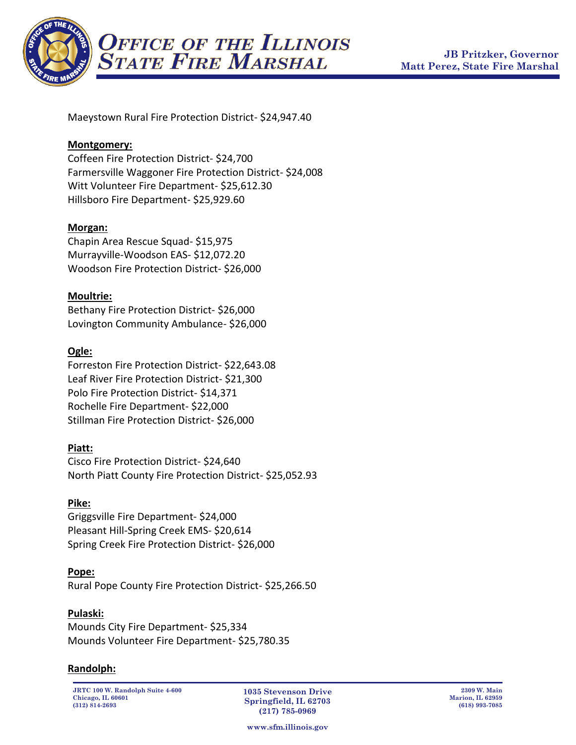

Maeystown Rural Fire Protection District- \$24,947.40

#### **Montgomery:**

Coffeen Fire Protection District- \$24,700 Farmersville Waggoner Fire Protection District- \$24,008 Witt Volunteer Fire Department- \$25,612.30 Hillsboro Fire Department- \$25,929.60

#### **Morgan:**

Chapin Area Rescue Squad- \$15,975 Murrayville-Woodson EAS- \$12,072.20 Woodson Fire Protection District- \$26,000

#### **Moultrie:**

Bethany Fire Protection District- \$26,000 Lovington Community Ambulance- \$26,000

#### **Ogle:**

Forreston Fire Protection District- \$22,643.08 Leaf River Fire Protection District- \$21,300 Polo Fire Protection District- \$14,371 Rochelle Fire Department- \$22,000 Stillman Fire Protection District- \$26,000

#### **Piatt:**

Cisco Fire Protection District- \$24,640 North Piatt County Fire Protection District- \$25,052.93

#### **Pike:**

Griggsville Fire Department- \$24,000 Pleasant Hill-Spring Creek EMS- \$20,614 Spring Creek Fire Protection District- \$26,000

#### **Pope:**

Rural Pope County Fire Protection District- \$25,266.50

#### **Pulaski:**

Mounds City Fire Department- \$25,334 Mounds Volunteer Fire Department- \$25,780.35

#### **Randolph:**

**JRTC 100 W. Randolph Suite 4-600 Chicago, IL 60601 (312) 814-2693**

**1035 Stevenson Drive Springfield, IL 62703 (217) 785-0969**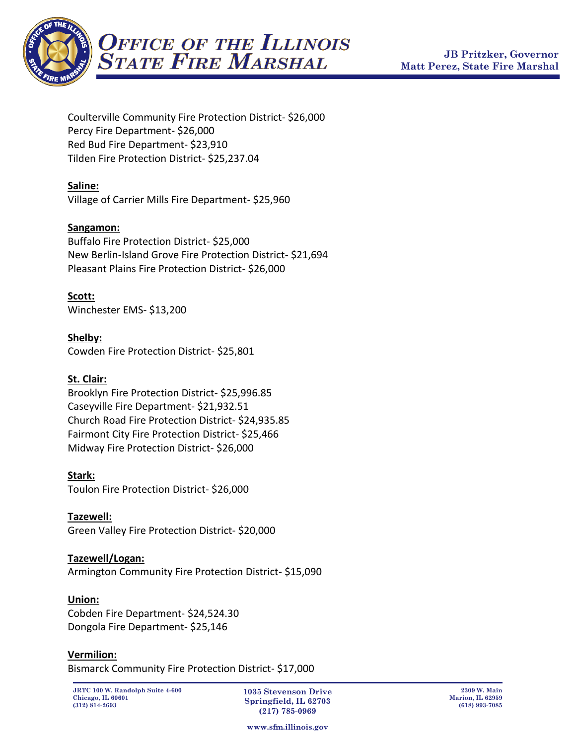

Coulterville Community Fire Protection District- \$26,000 Percy Fire Department- \$26,000 Red Bud Fire Department- \$23,910 Tilden Fire Protection District- \$25,237.04

## **Saline:**

Village of Carrier Mills Fire Department- \$25,960

## **Sangamon:**

Buffalo Fire Protection District- \$25,000 New Berlin-Island Grove Fire Protection District- \$21,694 Pleasant Plains Fire Protection District- \$26,000

## **Scott:**

Winchester EMS- \$13,200

## **Shelby:**

Cowden Fire Protection District- \$25,801

## **St. Clair:**

Brooklyn Fire Protection District- \$25,996.85 Caseyville Fire Department- \$21,932.51 Church Road Fire Protection District- \$24,935.85 Fairmont City Fire Protection District- \$25,466 Midway Fire Protection District- \$26,000

#### **Stark:**

Toulon Fire Protection District- \$26,000

**Tazewell:** Green Valley Fire Protection District- \$20,000

## **Tazewell/Logan:**

Armington Community Fire Protection District- \$15,090

#### **Union:**

Cobden Fire Department- \$24,524.30 Dongola Fire Department- \$25,146

#### **Vermilion:**

Bismarck Community Fire Protection District- \$17,000

**1035 Stevenson Drive Springfield, IL 62703 (217) 785-0969**